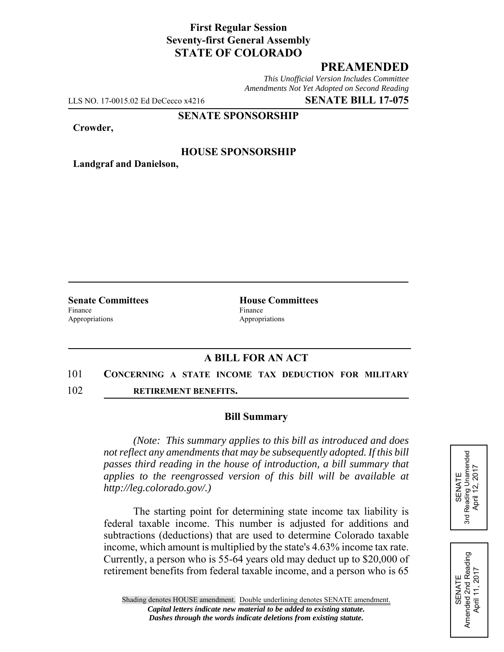# **First Regular Session Seventy-first General Assembly STATE OF COLORADO**

# **PREAMENDED**

*This Unofficial Version Includes Committee Amendments Not Yet Adopted on Second Reading*

LLS NO. 17-0015.02 Ed DeCecco x4216 **SENATE BILL 17-075**

## **SENATE SPONSORSHIP**

#### **Crowder,**

## **HOUSE SPONSORSHIP**

**Landgraf and Danielson,**

Finance Finance **Finance** Appropriations Appropriations

**Senate Committees House Committees** 

# **A BILL FOR AN ACT**

## 101 **CONCERNING A STATE INCOME TAX DEDUCTION FOR MILITARY**

102 **RETIREMENT BENEFITS.**

## **Bill Summary**

*(Note: This summary applies to this bill as introduced and does not reflect any amendments that may be subsequently adopted. If this bill passes third reading in the house of introduction, a bill summary that applies to the reengrossed version of this bill will be available at http://leg.colorado.gov/.)*

The starting point for determining state income tax liability is federal taxable income. This number is adjusted for additions and subtractions (deductions) that are used to determine Colorado taxable income, which amount is multiplied by the state's 4.63% income tax rate. Currently, a person who is 55-64 years old may deduct up to \$20,000 of retirement benefits from federal taxable income, and a person who is 65



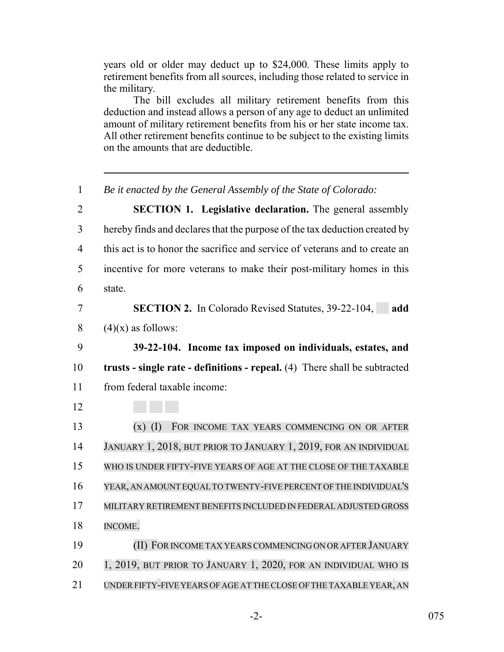years old or older may deduct up to \$24,000. These limits apply to retirement benefits from all sources, including those related to service in the military.

The bill excludes all military retirement benefits from this deduction and instead allows a person of any age to deduct an unlimited amount of military retirement benefits from his or her state income tax. All other retirement benefits continue to be subject to the existing limits on the amounts that are deductible.

 *Be it enacted by the General Assembly of the State of Colorado:* **SECTION 1. Legislative declaration.** The general assembly hereby finds and declares that the purpose of the tax deduction created by this act is to honor the sacrifice and service of veterans and to create an incentive for more veterans to make their post-military homes in this state. **SECTION 2.** In Colorado Revised Statutes, 39-22-104, **add**  $(4)(x)$  as follows: **39-22-104. Income tax imposed on individuals, estates, and trusts - single rate - definitions - repeal.** (4) There shall be subtracted from federal taxable income: (x) (I) FOR INCOME TAX YEARS COMMENCING ON OR AFTER JANUARY 1, 2018, BUT PRIOR TO JANUARY 1, 2019, FOR AN INDIVIDUAL WHO IS UNDER FIFTY-FIVE YEARS OF AGE AT THE CLOSE OF THE TAXABLE YEAR, AN AMOUNT EQUAL TO TWENTY-FIVE PERCENT OFTHE INDIVIDUAL'S MILITARY RETIREMENT BENEFITS INCLUDED IN FEDERAL ADJUSTED GROSS INCOME. **(II) FOR INCOME TAX YEARS COMMENCING ON OR AFTER JANUARY**  1, 2019, BUT PRIOR TO JANUARY 1, 2020, FOR AN INDIVIDUAL WHO IS UNDERFIFTY-FIVE YEARS OF AGE AT THE CLOSE OF THE TAXABLE YEAR, AN